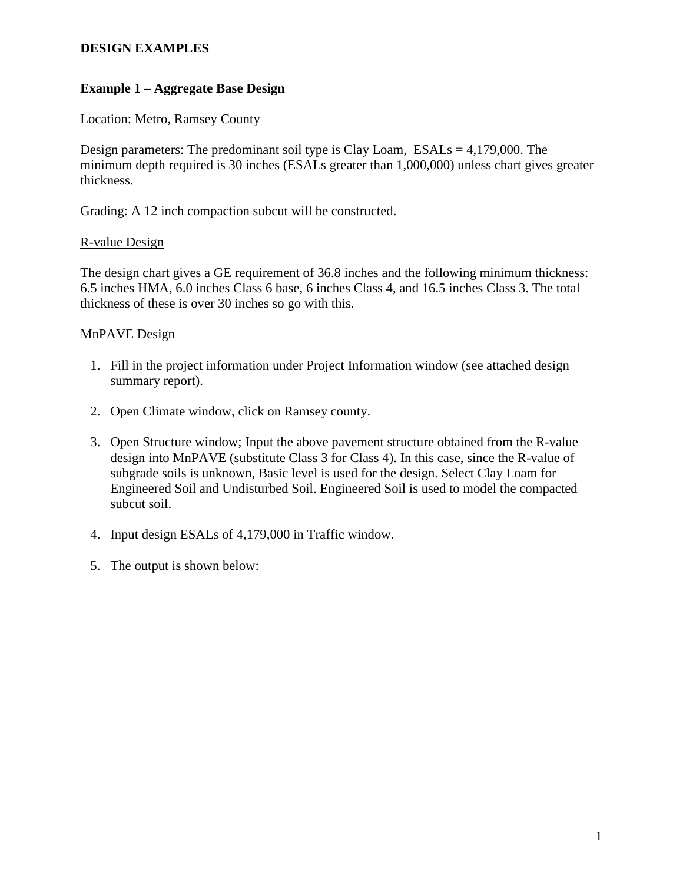# **Example 1 – Aggregate Base Design**

Location: Metro, Ramsey County

Design parameters: The predominant soil type is Clay Loam,  $ESALs = 4,179,000$ . The minimum depth required is 30 inches (ESALs greater than 1,000,000) unless chart gives greater thickness.

Grading: A 12 inch compaction subcut will be constructed.

## R-value Design

The design chart gives a GE requirement of 36.8 inches and the following minimum thickness: 6.5 inches HMA, 6.0 inches Class 6 base, 6 inches Class 4, and 16.5 inches Class 3. The total thickness of these is over 30 inches so go with this.

# MnPAVE Design

- 1. Fill in the project information under Project Information window (see attached design summary report).
- 2. Open Climate window, click on Ramsey county.
- 3. Open Structure window; Input the above pavement structure obtained from the R-value design into MnPAVE (substitute Class 3 for Class 4). In this case, since the R-value of subgrade soils is unknown, Basic level is used for the design. Select Clay Loam for Engineered Soil and Undisturbed Soil. Engineered Soil is used to model the compacted subcut soil.
- 4. Input design ESALs of 4,179,000 in Traffic window.
- 5. The output is shown below: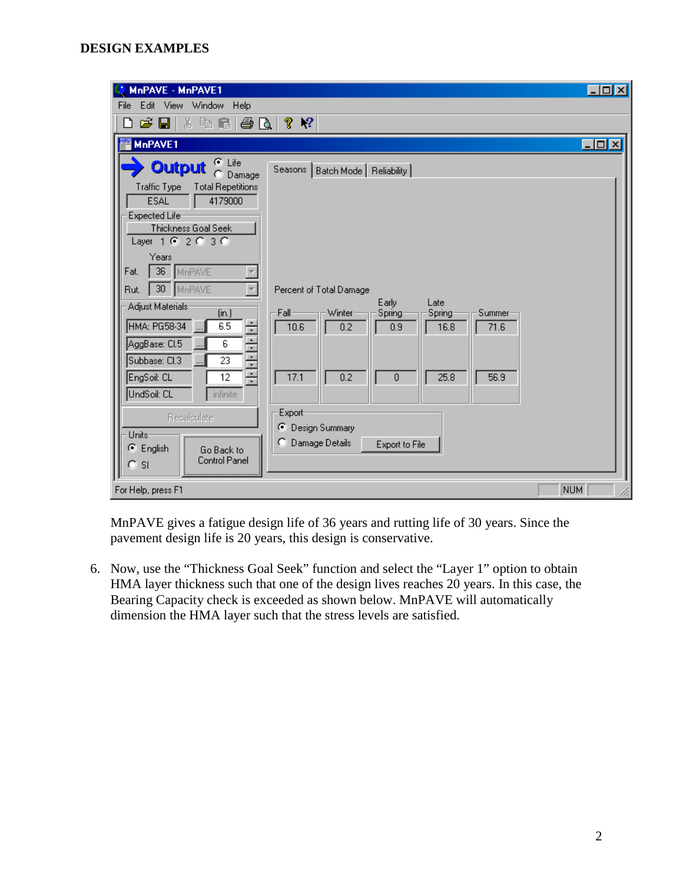| MnPAVE - MnPAVE1                                                                          |                                                                                       | $\Box$ D $\Box$  |
|-------------------------------------------------------------------------------------------|---------------------------------------------------------------------------------------|------------------|
| Edit View Window Help<br>File                                                             |                                                                                       |                  |
| ※ 嘔 量 <br>G H<br>68 Q<br>Π                                                                | P.<br>$\mathbb{R}^2$                                                                  |                  |
| MnPAVE1                                                                                   |                                                                                       | $ \Box$ $\times$ |
| $\odot$ Life<br><b>Output</b><br>Damage<br>n.<br>Traffic Type<br><b>Total Repetitions</b> | Seasons   Batch Mode   Reliability                                                    |                  |
| <b>ESAL</b><br>4179000                                                                    |                                                                                       |                  |
| Expected Life<br>Thickness Goal Seek<br>Layer 1 $62030$                                   |                                                                                       |                  |
| Years<br>36<br>Fat.<br>MnPAVE                                                             |                                                                                       |                  |
| 30 <sub>1</sub><br>MnPAVE<br>Rut.<br>Adjust Materials:                                    | Percent of Total Damage<br>Early<br>Late                                              |                  |
| (in.)<br>÷<br>HMA: PG58-34<br>6.5                                                         | Winter<br>· Fall-<br>Summer<br>Spring<br>Spring<br>10.6<br>0.2<br>0.9<br>16.8<br>71.6 |                  |
| AggBase: Cl.5<br>6                                                                        |                                                                                       |                  |
| $\frac{1}{2}$<br>Subbase: Cl.3<br>23<br>EngSoil: CL<br>12                                 | 17.1<br>0.2<br>25.8<br>56.9<br>0                                                      |                  |
| UndSoil: CL<br>infinite                                                                   |                                                                                       |                  |
| Recalculate                                                                               | Export                                                                                |                  |
| Units-<br><b>⊙</b> English<br>Go Back to<br>Control Panel<br><b>SI</b>                    | ⊙ Design Summary<br>C Damage Details<br>Export to File                                |                  |
| For Help, press F1                                                                        |                                                                                       | NUM              |

MnPAVE gives a fatigue design life of 36 years and rutting life of 30 years. Since the pavement design life is 20 years, this design is conservative.

6. Now, use the "Thickness Goal Seek" function and select the "Layer 1" option to obtain HMA layer thickness such that one of the design lives reaches 20 years. In this case, the Bearing Capacity check is exceeded as shown below. MnPAVE will automatically dimension the HMA layer such that the stress levels are satisfied.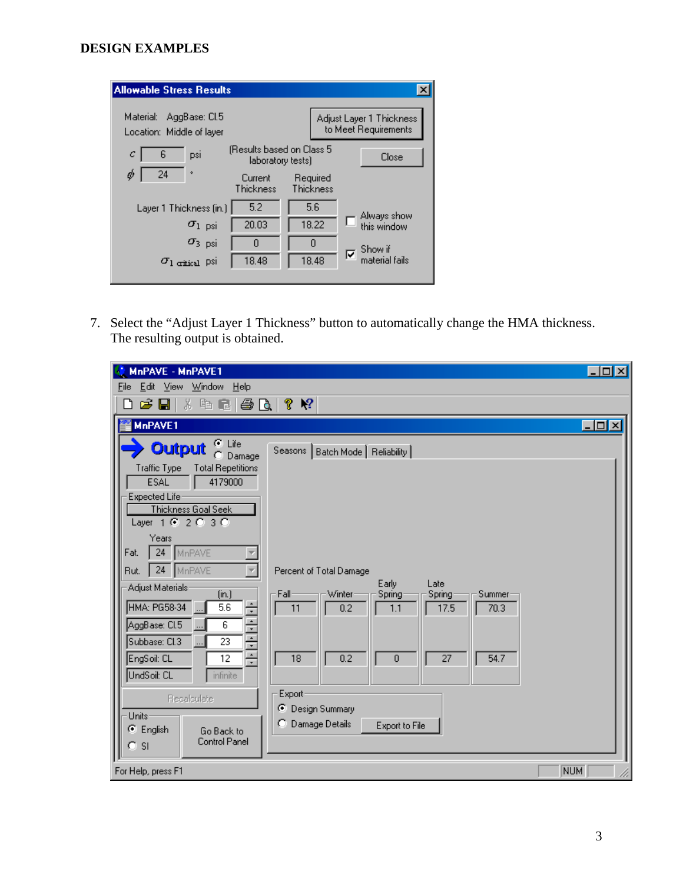| <b>Allowable Stress Results</b>                         |                                                |                       |                                                  |
|---------------------------------------------------------|------------------------------------------------|-----------------------|--------------------------------------------------|
| Material:<br>AggBase: Cl.5<br>Location: Middle of layer |                                                |                       | Adjust Layer 1 Thickness<br>to Meet Requirements |
| 6<br>с<br>psi                                           | (Results based on Class 5<br>laboratory tests) |                       | Close                                            |
| 24<br>۰<br>Ø                                            | Current<br>Thickness                           | Required<br>Thickness |                                                  |
| Layer 1 Thickness (in.)                                 | 5.2                                            | 5.6                   |                                                  |
| $\sigma_{1-psi}$                                        | 20.03                                          | 18.22                 | Always show<br>this window                       |
| $\sigma_3$ psi                                          | Ω                                              | Ω                     | Show if                                          |
| $\sigma_1$ eritical PSI                                 | 18.48                                          | 18.48                 | ⊽<br>material fails.                             |

7. Select the "Adjust Layer 1 Thickness" button to automatically change the HMA thickness. The resulting output is obtained.

| MnPAVE - MnPAVE1                                                          |                                                                                   | $ \Box$ $\times$ |
|---------------------------------------------------------------------------|-----------------------------------------------------------------------------------|------------------|
| Edit View Window<br>Eile<br><u>H</u> elp                                  |                                                                                   |                  |
| 临尾<br>6 Q<br>G H<br>Ж.<br>۱۹                                              | ଙ୍<br>$\mathbb{R}^2$                                                              |                  |
| MnPAVE1                                                                   |                                                                                   | $\Box$ D $\Box$  |
| ⊕ Life<br><b>Output</b><br>Damage                                         | Seasons  <br>Batch Mode   Reliability                                             |                  |
| <b>Total Repetitions</b><br><b>Traffic Type</b><br>4179000<br><b>ESAL</b> |                                                                                   |                  |
| Expected Life                                                             |                                                                                   |                  |
| Thickness Goal Seek<br>Layer 1 @ 2 @ 3 @                                  |                                                                                   |                  |
| Years<br>24<br>MnPAVE<br>Fat.                                             |                                                                                   |                  |
| 24 MnPAVE<br>Rut.                                                         | Percent of Total Damage                                                           |                  |
| Adjust Materials:                                                         | Early<br>Late                                                                     |                  |
| (in.)<br>HMA: PG58-34<br>5.6                                              | Fall-<br>Winter<br>Spring<br>Summer<br>Spring<br>17.5<br>0.2<br>70.3<br>11<br>1.1 |                  |
| 아시아 나라<br>AggBase: Cl.5<br>6                                              |                                                                                   |                  |
| Subbase: Cl.3<br>23<br>$\overline{\phantom{a}}$                           |                                                                                   |                  |
| EngSoil: CL<br>12<br>UndSoil: CL                                          | 18<br>0.2<br>27<br>54.7<br>0                                                      |                  |
| <i>infinite</i>                                                           | Export                                                                            |                  |
| Recalculate                                                               | C.<br>Design Summary                                                              |                  |
| Units-<br>C English                                                       | Damage Details<br>O.<br>Export to File                                            |                  |
| Go Back to<br><b>Control Panel</b><br>O.<br><sub>SI</sub>                 |                                                                                   |                  |
| For Help, press F1                                                        |                                                                                   | <b>NUM</b>       |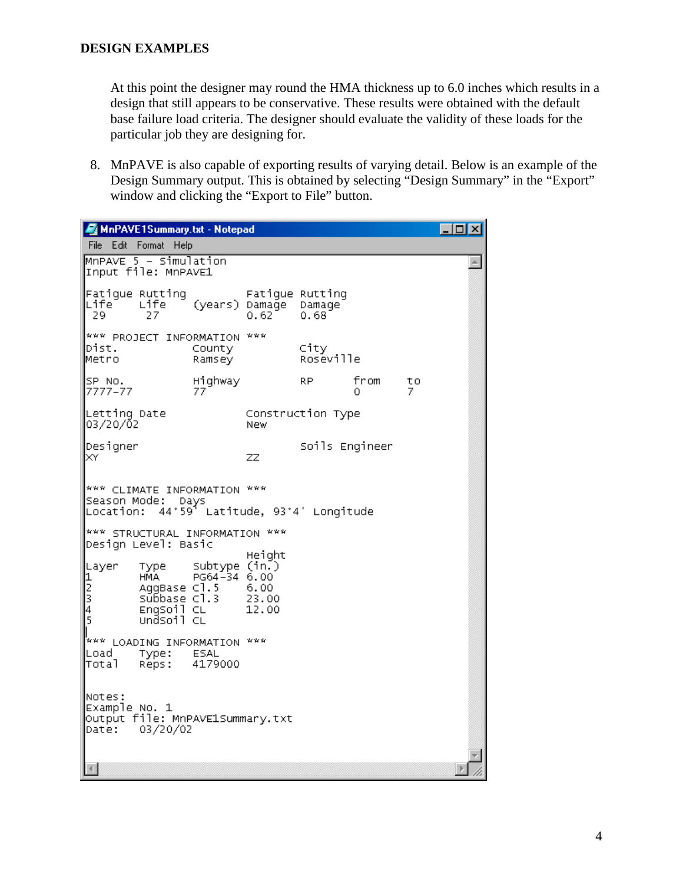At this point the designer may round the HMA thickness up to 6.0 inches which results in a design that still appears to be conservative. These results were obtained with the default base failure load criteria. The designer should evaluate the validity of these loads for the particular job they are designing for.

8. MnPAVE is also capable of exporting results of varying detail. Below is an example of the Design Summary output. This is obtained by selecting "Design Summary" in the "Export" window and clicking the "Export to File" button.

| MnPAVE1Summary.txt - Notepad                                                                                                                              |                                                  |                   |                |         | $\overline{I}$ ol $x$ |
|-----------------------------------------------------------------------------------------------------------------------------------------------------------|--------------------------------------------------|-------------------|----------------|---------|-----------------------|
| File Edit Format Help                                                                                                                                     |                                                  |                   |                |         |                       |
| $MNPAVE 5 - Simulation$<br>Input file: MnPAVE1                                                                                                            |                                                  |                   |                |         |                       |
| Fatigue Rutting<br>Life<br>Life<br>29.<br>27                                                                                                              | Fatigue Rutting<br>(years) Damage Damage<br>0.62 | 0.68              |                |         |                       |
| *** PROJECT INFORMATION<br>Dist.<br>County<br>Metro<br>Ramsey                                                                                             | ***                                              | City<br>Roseville |                |         |                       |
| Highway<br>SP No.<br>7777–77<br>77                                                                                                                        |                                                  | RP.               | from<br>0      | tο<br>7 |                       |
| Letting Date<br>03/20/02                                                                                                                                  | Construction Type<br>New                         |                   |                |         |                       |
| Designer<br>ΙXΥ                                                                                                                                           | <b>ZZ</b>                                        |                   | Soils Engineer |         |                       |
| *** CLIMATE INFORMATION ***<br>Season Mode:<br>Days<br>Location: 44°59 <sup>5</sup> Latitude, 93°4' Longitude                                             |                                                  |                   |                |         |                       |
| *** STRUCTURAL INFORMATION ***<br>Design Level: Basic                                                                                                     |                                                  |                   |                |         |                       |
| Subtype (in.)<br>Layer<br>Туре<br>$\frac{1}{2}$<br>$\frac{3}{4}$<br>5<br>PG64-34 6.00<br>HMA.<br>AggBase Cl.5<br>Subbase Cl.3<br>EngSoil CL<br>∪ndSoil ⊂∟ | Height<br>6.00<br>23.00<br>12.00                 |                   |                |         |                       |
| <b>WAR LOADING INFORMATION WAR</b><br>Load<br>ESAL<br>Туре:<br>4179000<br> Total<br>Reps:                                                                 |                                                  |                   |                |         |                       |
| Notes:<br>Example No. 1<br>output file: MnPAVE1Summary.txt <br>03/20/02<br>Date:                                                                          |                                                  |                   |                |         |                       |
| $\left\langle \cdot \right\rangle$                                                                                                                        |                                                  |                   |                |         |                       |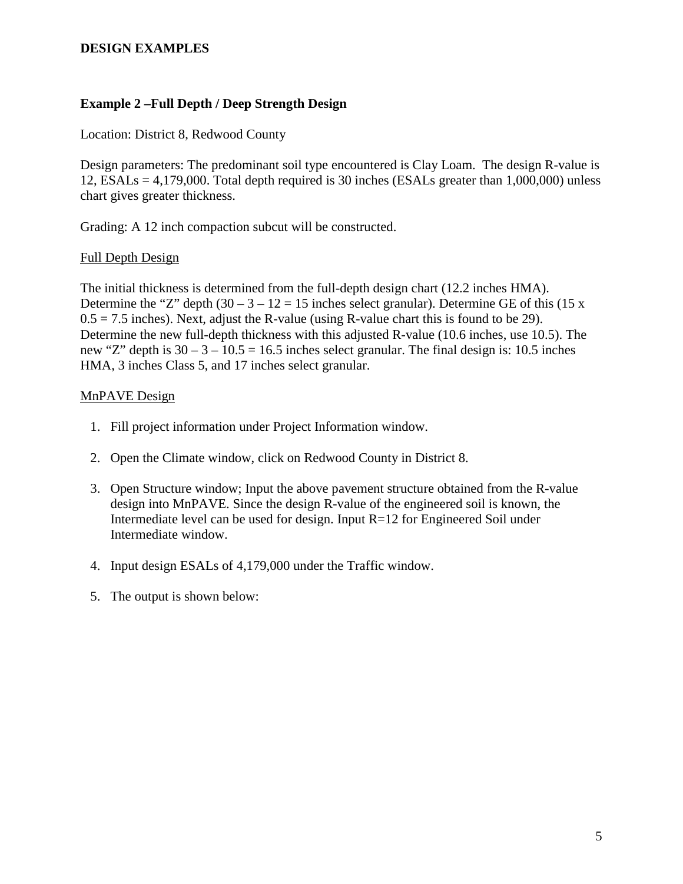### **Example 2 –Full Depth / Deep Strength Design**

Location: District 8, Redwood County

Design parameters: The predominant soil type encountered is Clay Loam. The design R-value is 12,  $ESALS = 4,179,000$ . Total depth required is 30 inches (ESALs greater than 1,000,000) unless chart gives greater thickness.

Grading: A 12 inch compaction subcut will be constructed.

### Full Depth Design

The initial thickness is determined from the full-depth design chart (12.2 inches HMA). Determine the "Z" depth  $(30 - 3 - 12 = 15$  inches select granular). Determine GE of this  $(15 \text{ x})$  $0.5 = 7.5$  inches). Next, adjust the R-value (using R-value chart this is found to be 29). Determine the new full-depth thickness with this adjusted R-value (10.6 inches, use 10.5). The new "Z" depth is  $30 - 3 - 10.5 = 16.5$  inches select granular. The final design is: 10.5 inches HMA, 3 inches Class 5, and 17 inches select granular.

### MnPAVE Design

- 1. Fill project information under Project Information window.
- 2. Open the Climate window, click on Redwood County in District 8.
- 3. Open Structure window; Input the above pavement structure obtained from the R-value design into MnPAVE. Since the design R-value of the engineered soil is known, the Intermediate level can be used for design. Input R=12 for Engineered Soil under Intermediate window.
- 4. Input design ESALs of 4,179,000 under the Traffic window.
- 5. The output is shown below: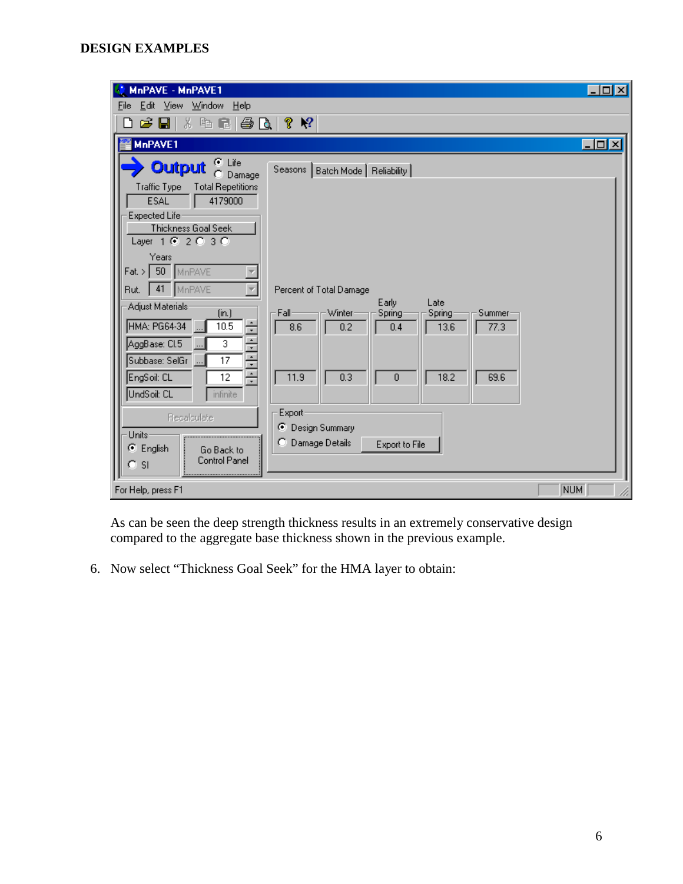| MnPAVE - MnPAVE1                                                                                                                                                                                                                                                                                          |                                                                                                                                                                       | $\Box$ D $\Box$   |
|-----------------------------------------------------------------------------------------------------------------------------------------------------------------------------------------------------------------------------------------------------------------------------------------------------------|-----------------------------------------------------------------------------------------------------------------------------------------------------------------------|-------------------|
| Edit View Window Help<br>File                                                                                                                                                                                                                                                                             |                                                                                                                                                                       |                   |
| * 4 ■ ● B  <br>C H<br>Π                                                                                                                                                                                                                                                                                   | $\mathbb{R}^2$<br>?                                                                                                                                                   |                   |
| MnPAVE1                                                                                                                                                                                                                                                                                                   |                                                                                                                                                                       | $\Box$ D $\times$ |
| ⊕ Life<br><b>Output</b><br>Damage<br>n.<br><b>Total Repetitions</b><br>Traffic Type<br><b>ESAL</b><br>4179000<br>Expected Life<br>Thickness Goal Seek<br>Layer $102030$<br>Years<br>$\text{Flat.} > \boxed{50}$ MnPAVE<br>MnPAVE<br>41<br>Rut.<br>Adjust Materials:<br>(in.)<br>÷<br>HMA: PG64-34<br>10.5 | Seasons   Batch Mode   Reliability  <br>Percent of Total Damage<br>Early<br>Late<br>Fall<br>Winter<br>Spring<br>Spring<br>Summer<br>8.6<br>0.2<br>13.6<br>77.3<br>0.4 |                   |
| $\frac{1}{2}$<br>AggBase: Cl.5<br>3<br>Subbase: SelGr<br>17<br>÷<br>EngSoil: CL<br>12<br>UndSoil: CL<br><i>infinite</i><br>Recalculate<br>Units:<br><br><b>⊙</b> English<br>Go Back to<br>Control Panel<br>C SI                                                                                           | 11.9<br>0.3<br>18.2<br>69.6<br>0<br>Export<br>⊙ Design Summary<br>C Damage Details<br>Export to File                                                                  |                   |
| For Help, press F1                                                                                                                                                                                                                                                                                        |                                                                                                                                                                       | NUM               |

As can be seen the deep strength thickness results in an extremely conservative design compared to the aggregate base thickness shown in the previous example.

6. Now select "Thickness Goal Seek" for the HMA layer to obtain: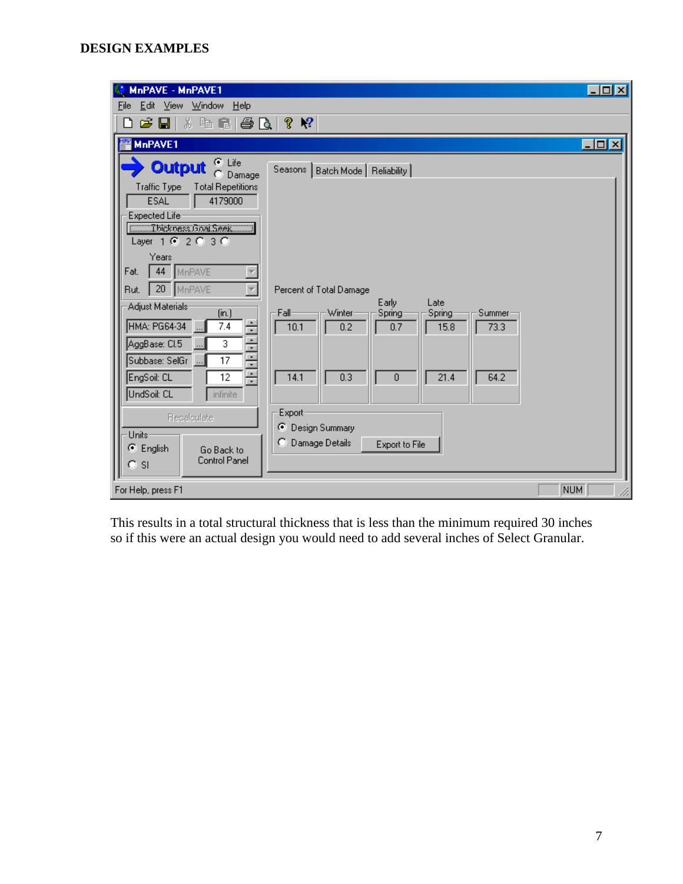| MnPAVE - MnPAVE1                                                                                                                                                                                                                                                                                                       |                                                                                                                                                                         | $  \_ \square  \times  $ |
|------------------------------------------------------------------------------------------------------------------------------------------------------------------------------------------------------------------------------------------------------------------------------------------------------------------------|-------------------------------------------------------------------------------------------------------------------------------------------------------------------------|--------------------------|
| Edit View Window Help<br>File                                                                                                                                                                                                                                                                                          |                                                                                                                                                                         |                          |
| 3. 轴 量<br>G H<br>60.<br>Г٦                                                                                                                                                                                                                                                                                             | $\mathbf{P}$<br>P.                                                                                                                                                      |                          |
| MnPAVE1                                                                                                                                                                                                                                                                                                                |                                                                                                                                                                         | $ \Box$ $\times$         |
| ় Life<br><b>Output</b><br>Damage<br>n<br>Traffic Type<br><b>Total Repetitions</b><br><b>ESAL</b><br>4179000<br>Expected Life<br><b>Communications</b> Seek<br>Layer $162030$<br>Years<br>44<br>Fat.<br>MnPAVE<br>20<br>MnPAVE<br>Rut.<br>Adjust Materials:<br>(in.)<br>Ė<br>HMA: PG64-34<br>7.4<br>AggBase: Cl.5<br>3 | Seasons   Batch Mode   Reliability  <br>Percent of Total Damage<br>Early<br>Late<br>Fall-<br>Winter<br>Spring<br>Spring<br>Summer<br>10.1<br>0.2<br>0.7<br>15.8<br>73.3 |                          |
| $\cdot$ $\cdot$ $\cdot$ $\cdot$ $\cdot$<br>Subbase: SelGr<br>17<br>EngSoil: CL<br>12<br>UndSoil: CL<br>infinite<br>Recalculate<br>Units-<br>C English<br>Go Back to<br>Control Panel<br>-SI                                                                                                                            | 14.1<br>0.3<br>21.4<br>64.2<br>0<br>Export<br>⊙ Design Summary<br>Damage Details<br>Export to File                                                                      |                          |
| For Help, press F1                                                                                                                                                                                                                                                                                                     | <b>NUM</b>                                                                                                                                                              |                          |

This results in a total structural thickness that is less than the minimum required 30 inches so if this were an actual design you would need to add several inches of Select Granular.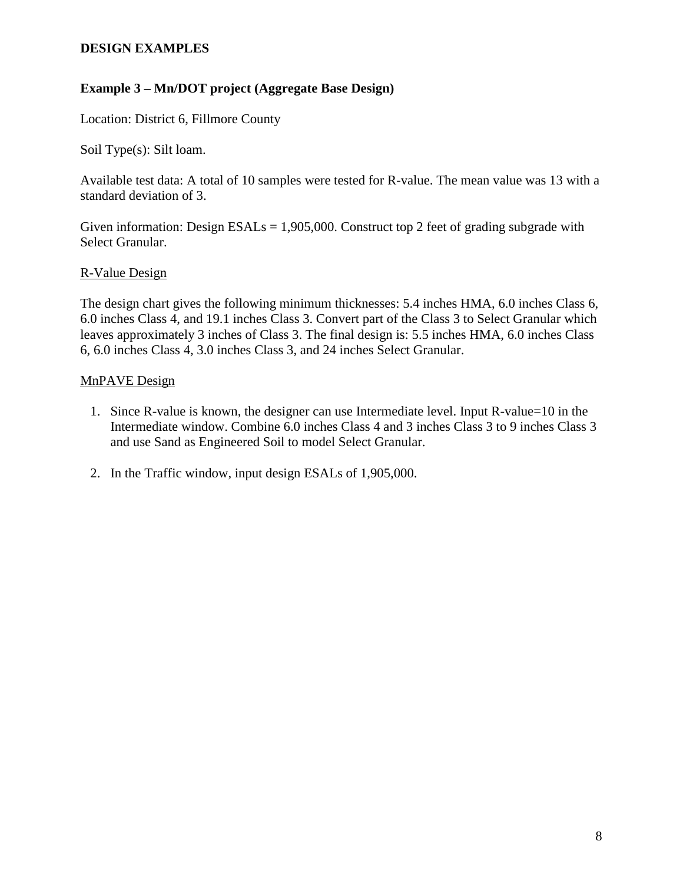# **Example 3 – Mn/DOT project (Aggregate Base Design)**

Location: District 6, Fillmore County

Soil Type(s): Silt loam.

Available test data: A total of 10 samples were tested for R-value. The mean value was 13 with a standard deviation of 3.

Given information: Design  $ESALS = 1,905,000$ . Construct top 2 feet of grading subgrade with Select Granular.

## R-Value Design

The design chart gives the following minimum thicknesses: 5.4 inches HMA, 6.0 inches Class 6, 6.0 inches Class 4, and 19.1 inches Class 3. Convert part of the Class 3 to Select Granular which leaves approximately 3 inches of Class 3. The final design is: 5.5 inches HMA, 6.0 inches Class 6, 6.0 inches Class 4, 3.0 inches Class 3, and 24 inches Select Granular.

## MnPAVE Design

- 1. Since R-value is known, the designer can use Intermediate level. Input R-value=10 in the Intermediate window. Combine 6.0 inches Class 4 and 3 inches Class 3 to 9 inches Class 3 and use Sand as Engineered Soil to model Select Granular.
- 2. In the Traffic window, input design ESALs of 1,905,000.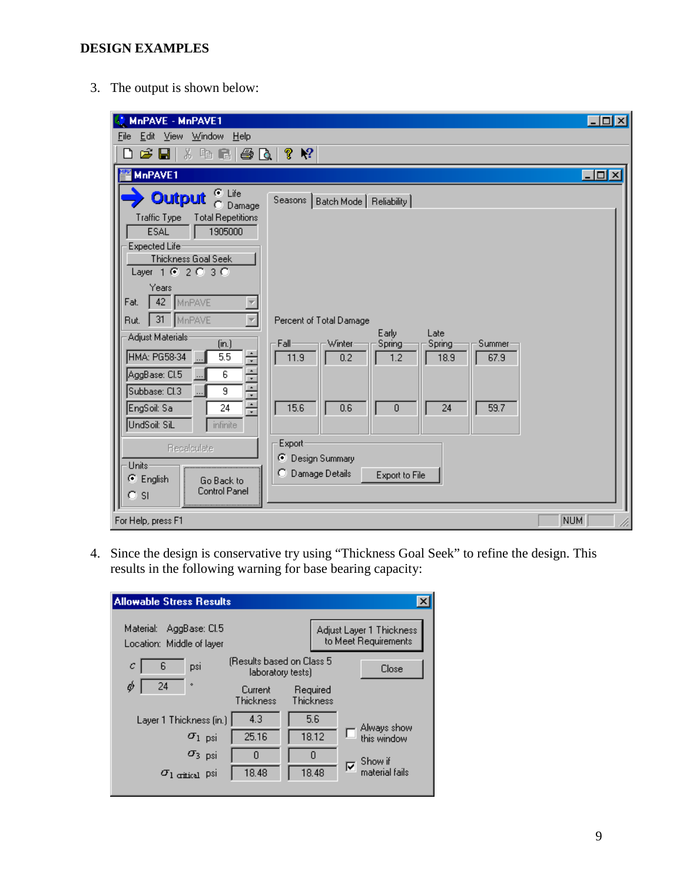3. The output is shown below:

| MnPAVE - MnPAVE1                                                              |                                                                | $\Box$ o $\boxtimes$ |
|-------------------------------------------------------------------------------|----------------------------------------------------------------|----------------------|
| Edit View Window Help<br>File                                                 |                                                                |                      |
| ※ 唯 信 <br>60.<br>n<br>G H                                                     | ଙ୍<br>$\mathbf{P}$                                             |                      |
| MnPAVE1                                                                       |                                                                | $\Box$ o $\Box$      |
| C Life<br><b>Output</b><br>Damage<br>Traffic Type<br><b>Total Repetitions</b> | Seasons   Batch Mode   Reliability                             |                      |
| <b>ESAL</b><br>1905000                                                        |                                                                |                      |
| Expected Life<br>Thickness Goal Seek<br>Layer $1002030$                       |                                                                |                      |
| Years<br>42<br>Fat.<br>MnPAVE                                                 |                                                                |                      |
| $31 -$<br>MnPAVE<br>Rut.                                                      | Percent of Total Damage                                        |                      |
| Adjust Materials<br>(in.)                                                     | Early<br>Late<br>Fall-<br>Winter<br>Spring<br>Spring<br>Summer |                      |
| HMA: PG58-34<br>5.5<br>$\overline{6}$                                         | 11.9<br>0.2<br>1.2<br>18.9<br>67.9                             |                      |
| 아시아<br>AggBase: CI.5<br>Subbase: Cl.3<br>9                                    |                                                                |                      |
| EngSoil: Sa<br>24                                                             | 15.6<br>0.6<br>24<br>59.7<br>0                                 |                      |
| UndSoil: SiL<br><i>infinite</i>                                               |                                                                |                      |
| Recalculate                                                                   | Export<br>C Design Summary                                     |                      |
| Units-                                                                        | o<br>Damage Details<br>Export to File                          |                      |
| C English<br>Go Back to<br>Control Panel<br><b>SI</b>                         |                                                                |                      |
| For Help, press F1                                                            | NUM                                                            |                      |

4. Since the design is conservative try using "Thickness Goal Seek" to refine the design. This results in the following warning for base bearing capacity:

| <b>Allowable Stress Results</b>                         |                                                 |                       |                                                  |
|---------------------------------------------------------|-------------------------------------------------|-----------------------|--------------------------------------------------|
| AggBase: Cl.5<br>Material:<br>Location: Middle of layer |                                                 |                       | Adjust Layer 1 Thickness<br>to Meet Requirements |
| 6<br>с<br>psi                                           | (Results based on Class 5)<br>laboratory tests) |                       | Close                                            |
| 24<br>۰                                                 | Current<br>Thickness                            | Required<br>Thickness |                                                  |
| Layer 1 Thickness (in.)                                 | 4.3                                             | 5.6                   | Always show                                      |
| $\sigma_{1-psi}$                                        | 25.16                                           | 18.12                 | this window                                      |
| $\sigma_{3-psi}$                                        | n                                               | 0                     | Show if                                          |
| $\sigma_{\text{l critical}}$ psi                        | 18.48                                           | 18.48                 | ⊽<br>material fails                              |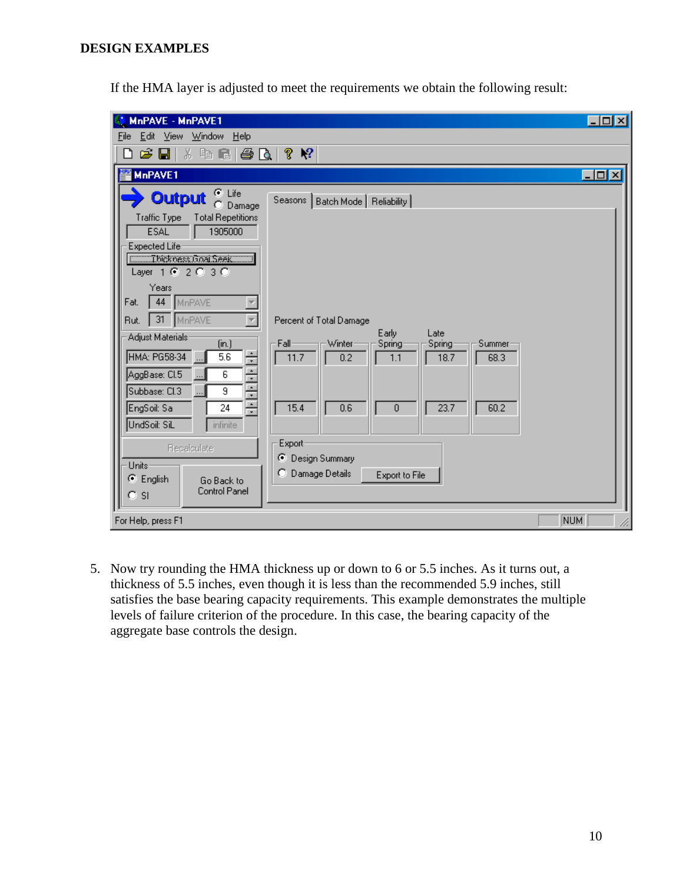If the HMA layer is adjusted to meet the requirements we obtain the following result:

| MnPAVE - MnPAVE1                                                                                                                                                                                                                                                                                                                                                                                                                                                                                                               |                                                                                                                                                                                                                                                                                  | $\Box$ o $\boxtimes$ |
|--------------------------------------------------------------------------------------------------------------------------------------------------------------------------------------------------------------------------------------------------------------------------------------------------------------------------------------------------------------------------------------------------------------------------------------------------------------------------------------------------------------------------------|----------------------------------------------------------------------------------------------------------------------------------------------------------------------------------------------------------------------------------------------------------------------------------|----------------------|
| Edit View Window Help<br>File                                                                                                                                                                                                                                                                                                                                                                                                                                                                                                  |                                                                                                                                                                                                                                                                                  |                      |
| C H<br><b>* 4 日 日 1 日 1</b><br>۱۹                                                                                                                                                                                                                                                                                                                                                                                                                                                                                              | $\mathbf{P}$<br>?                                                                                                                                                                                                                                                                |                      |
| MnPAVE1                                                                                                                                                                                                                                                                                                                                                                                                                                                                                                                        |                                                                                                                                                                                                                                                                                  | $\Box$ olx           |
| $\bullet$ Life<br><b>Output</b><br>Damage<br>n<br>Traffic Type<br><b>Total Repetitions</b><br>1905000<br><b>ESAL</b><br>Expected Life<br><b>Communications</b> Seek<br>Layer 1 @ 2 @ 3 @<br>Years<br>44<br>MnPAVE<br>Fat.<br>31<br>MnPAVE<br>Rut.<br>Adjust Materials<br>(in.)<br>$+1 - 1 - 1 - 1 - 1 -$<br>HMA: PG58-34<br>5.6<br>AggBase: Cl.5<br>6<br>Subbase: Cl.3<br>$\overline{9}$<br>EngSoil: Sa<br>24<br>UndSoil: SiL<br><i>infinite</i><br><b>Recalculate</b><br>Units <sup>®</sup><br><b>⊙</b> English<br>Go Back to | Seasons   Batch Mode   Reliability  <br>Percent of Total Damage<br>Early<br>Late<br>-Winter<br>∙Fall-<br>Spring<br>Spring<br>Summer<br>11.7<br>0.2<br>18.7<br>68.3<br>1.1<br>15.4<br>0.6<br>23.7<br>60.2<br>0<br>Export-<br>C Design Summary<br>Damage Details<br>Export to File |                      |
| <b>Control Panel</b><br><b>SI</b>                                                                                                                                                                                                                                                                                                                                                                                                                                                                                              |                                                                                                                                                                                                                                                                                  |                      |
| For Help, press F1                                                                                                                                                                                                                                                                                                                                                                                                                                                                                                             |                                                                                                                                                                                                                                                                                  | <b>NUM</b>           |

5. Now try rounding the HMA thickness up or down to 6 or 5.5 inches. As it turns out, a thickness of 5.5 inches, even though it is less than the recommended 5.9 inches, still satisfies the base bearing capacity requirements. This example demonstrates the multiple levels of failure criterion of the procedure. In this case, the bearing capacity of the aggregate base controls the design.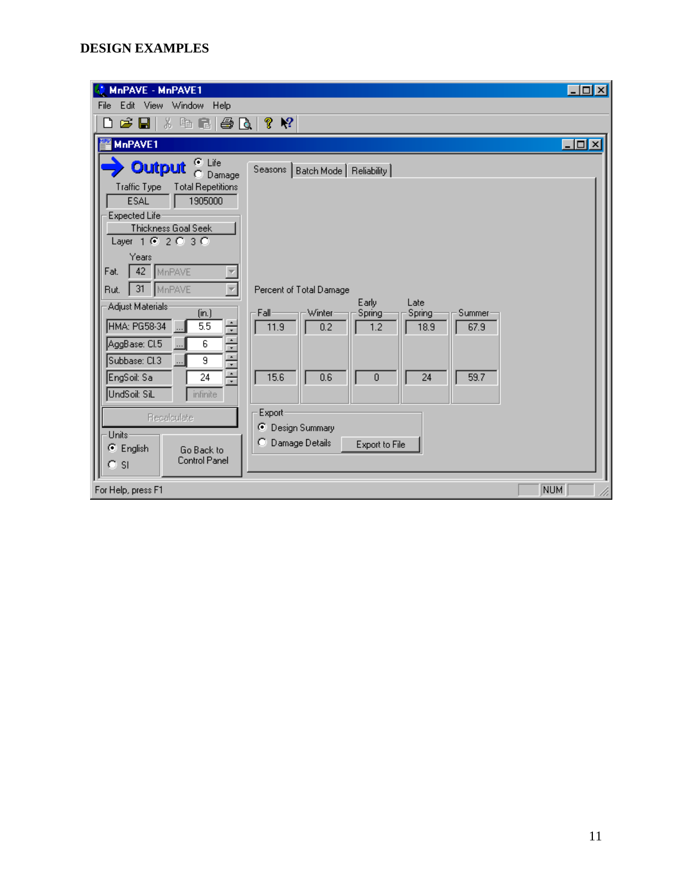| MnPAVE - MnPAVE1                                                   |                                                                | $  \cdot  $ ol $  \times  $ |
|--------------------------------------------------------------------|----------------------------------------------------------------|-----------------------------|
| Edit View Window Help<br>File                                      |                                                                |                             |
| ※ 49 ■   ● △  <br>G H<br>◘                                         | $\mathbb{R}^2$<br>ଙ୍                                           |                             |
| MnPAVE1                                                            |                                                                | $\Box$ D $\times$           |
| $\bullet$ Life<br><b>Output</b><br>Damage<br>n                     | Seasons   Batch Mode   Reliability                             |                             |
| Traffic Type<br><b>Total Repetitions</b><br><b>ESAL</b><br>1905000 |                                                                |                             |
| Expected Life                                                      |                                                                |                             |
| Thickness Goal Seek<br>Layer $1 \circ 2 \circ 3 \circ$             |                                                                |                             |
| Years                                                              |                                                                |                             |
| 42 MnPAVE<br>Fat.                                                  |                                                                |                             |
| 31 MnPAVE<br>Rut.                                                  | Percent of Total Damage                                        |                             |
| Adjust Materials:<br>(in.)                                         | Early<br>Late<br>Winter<br>Fall-<br>Spring<br>Summer<br>Spring |                             |
| ÷<br>HMA: PG58-34<br>5.5                                           | 11.9<br>0.2<br>67.9<br>1.2<br>18.9                             |                             |
| AggBase: Cl.5<br>6                                                 |                                                                |                             |
| 1111111<br>Subbase: Cl.3<br>9<br>$\overline{\phantom{a}}$          |                                                                |                             |
| EngSoil: Sa<br>24                                                  | 15.6<br>0.6<br>24<br>59.7<br>0                                 |                             |
| UndSoil: SiL<br><i>infinite</i>                                    |                                                                |                             |
| <b>Recalculate</b>                                                 | Export                                                         |                             |
| Units:                                                             | ⊙ Design Summary                                               |                             |
| <b>⊙</b> English<br>Go Back to<br><b>Control Panel</b><br>$C$ SI   | C Damage Details<br>Export to File                             |                             |
| For Help, press F1                                                 |                                                                | <b>NUM</b>                  |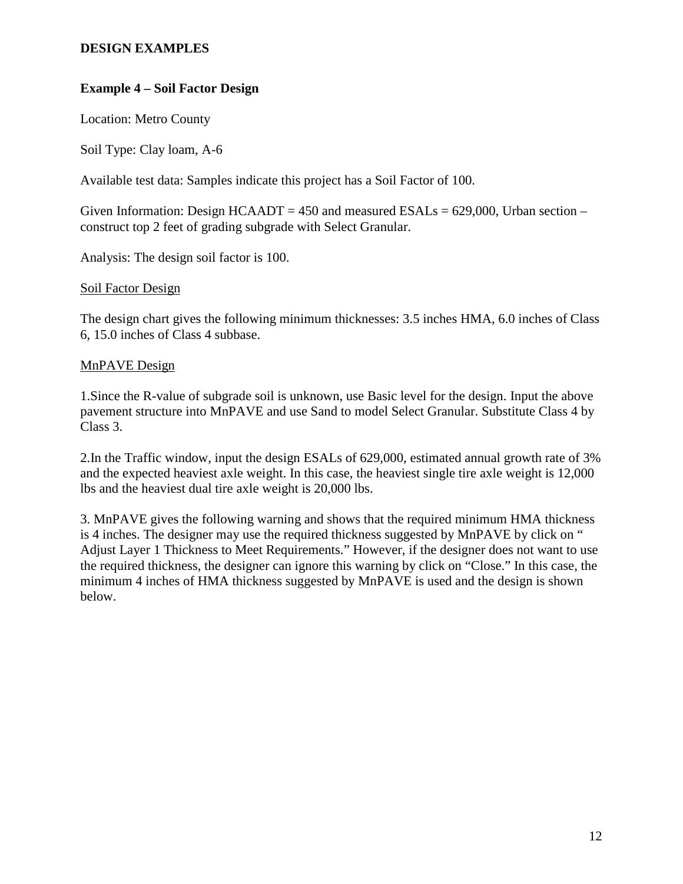# **Example 4 – Soil Factor Design**

Location: Metro County

Soil Type: Clay loam, A-6

Available test data: Samples indicate this project has a Soil Factor of 100.

Given Information: Design  $HCAADT = 450$  and measured  $ESALs = 629,000$ , Urban section – construct top 2 feet of grading subgrade with Select Granular.

Analysis: The design soil factor is 100.

### Soil Factor Design

The design chart gives the following minimum thicknesses: 3.5 inches HMA, 6.0 inches of Class 6, 15.0 inches of Class 4 subbase.

### MnPAVE Design

1.Since the R-value of subgrade soil is unknown, use Basic level for the design. Input the above pavement structure into MnPAVE and use Sand to model Select Granular. Substitute Class 4 by Class 3.

2.In the Traffic window, input the design ESALs of 629,000, estimated annual growth rate of 3% and the expected heaviest axle weight. In this case, the heaviest single tire axle weight is 12,000 lbs and the heaviest dual tire axle weight is 20,000 lbs.

3. MnPAVE gives the following warning and shows that the required minimum HMA thickness is 4 inches. The designer may use the required thickness suggested by MnPAVE by click on " Adjust Layer 1 Thickness to Meet Requirements." However, if the designer does not want to use the required thickness, the designer can ignore this warning by click on "Close." In this case, the minimum 4 inches of HMA thickness suggested by MnPAVE is used and the design is shown below.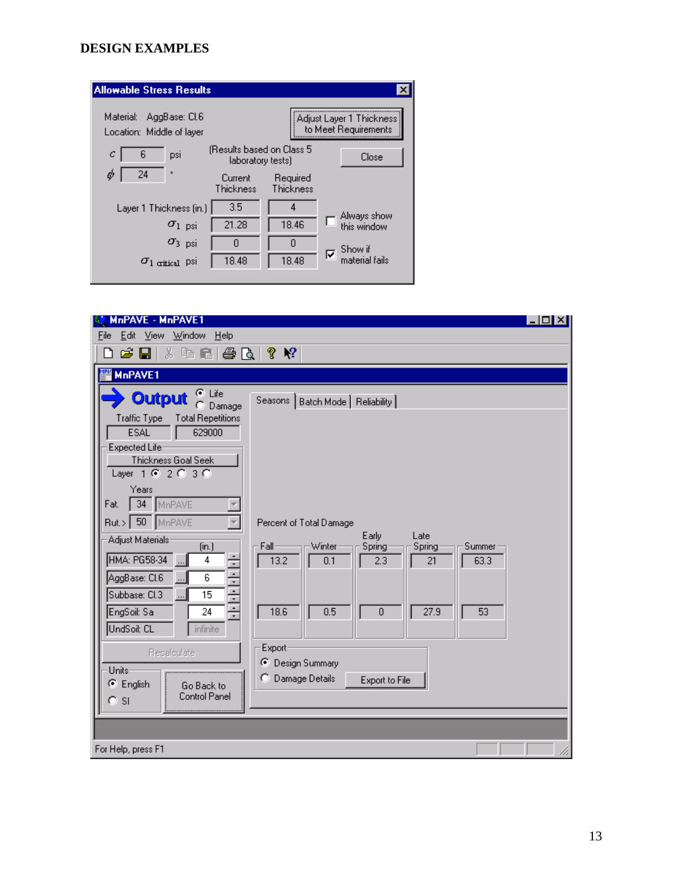| <b>Allowable Stress Results</b>                         |                                                |                       |                                                  |
|---------------------------------------------------------|------------------------------------------------|-----------------------|--------------------------------------------------|
| Material:<br>AggBase: Cl.6<br>Location: Middle of layer |                                                |                       | Adjust Layer 1 Thickness<br>to Meet Requirements |
| 6<br>с<br>psi                                           | (Results based on Class 5<br>laboratory tests) |                       | Close                                            |
| 24<br>۰                                                 | Current<br>Thickness                           | Required<br>Thickness |                                                  |
| Layer 1 Thickness (in.)                                 | 3.5                                            | 4                     | Always show                                      |
| $\sigma_{1-psi}$                                        | 21.28                                          | 18.46                 | this window                                      |
| $\sigma_3$ psi                                          | n                                              | 0                     | Show if                                          |
| $\sigma_{\text{l critical}}$ psi                        | 18.48                                          | 18.48                 | ঢ়<br>material fails                             |

| MnPAVE - MnPAVE1                                                                                                                                                                                                                                                                                                                                                                                                                                                                                            | - 미지                                                                                                                                                                                                                                                                                    |
|-------------------------------------------------------------------------------------------------------------------------------------------------------------------------------------------------------------------------------------------------------------------------------------------------------------------------------------------------------------------------------------------------------------------------------------------------------------------------------------------------------------|-----------------------------------------------------------------------------------------------------------------------------------------------------------------------------------------------------------------------------------------------------------------------------------------|
| Edit<br>Window<br>File<br>– ⊻iew<br>Help                                                                                                                                                                                                                                                                                                                                                                                                                                                                    |                                                                                                                                                                                                                                                                                         |
| <b>* 4 - 1 - 4 - 1</b><br>C H                                                                                                                                                                                                                                                                                                                                                                                                                                                                               | ?<br>$\mathbb{R}^2$                                                                                                                                                                                                                                                                     |
| <b>MnPAVE1</b>                                                                                                                                                                                                                                                                                                                                                                                                                                                                                              |                                                                                                                                                                                                                                                                                         |
| G Life<br><b>Output</b><br>n<br>Damage<br>Traffic Type<br><b>Total Repetitions</b><br>629000<br><b>ESAL</b><br>Expected Life<br>Thickness Goal Seek<br>Layer $1 \circledcirc 2 \circledcirc 3 \circledcirc$<br>Years<br>34 <sup>7</sup><br>MnPAVE<br>Fat.<br>Rut.> 50 MnPAVE<br>Adjust Materials:<br>(in.)<br><u> 사람 사람 사람</u><br>HMA: PG58-34<br>4<br>AggBase: CI.6<br>6<br>Subbase: Cl.3<br>15<br>EngSoil: Sa<br>24<br>UndSoil: CL<br><i>infinite</i><br>Recalculate<br>Units-<br>C English<br>Go Back to | Seasons   Batch Mode   Reliability  <br>Percent of Total Damage<br>Early<br>Late<br>Fall<br>Winter<br>Summer<br>Spring<br>Spring<br>13.2<br>2.3<br>21<br>63.3<br>0.1<br>27.9<br>18.6<br>0.5<br>$\overline{0}$<br>53<br>Export<br>⊙ Design Summary<br>C Damage Details<br>Export to File |
| Control Panel<br>$C$ SI                                                                                                                                                                                                                                                                                                                                                                                                                                                                                     |                                                                                                                                                                                                                                                                                         |
|                                                                                                                                                                                                                                                                                                                                                                                                                                                                                                             |                                                                                                                                                                                                                                                                                         |
|                                                                                                                                                                                                                                                                                                                                                                                                                                                                                                             |                                                                                                                                                                                                                                                                                         |
| For Help, press F1                                                                                                                                                                                                                                                                                                                                                                                                                                                                                          |                                                                                                                                                                                                                                                                                         |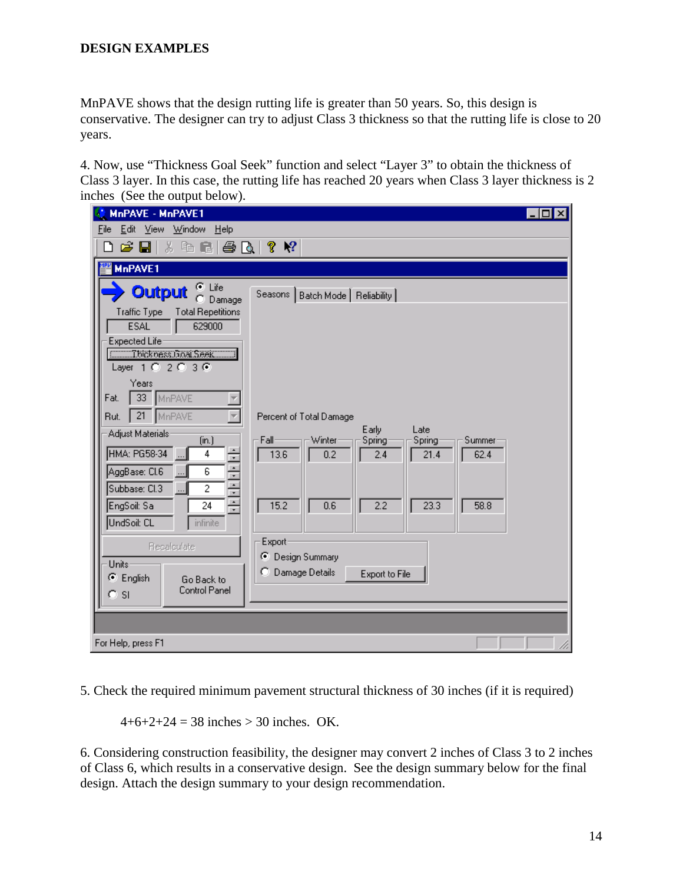MnPAVE shows that the design rutting life is greater than 50 years. So, this design is conservative. The designer can try to adjust Class 3 thickness so that the rutting life is close to 20 years.

4. Now, use "Thickness Goal Seek" function and select "Layer 3" to obtain the thickness of Class 3 layer. In this case, the rutting life has reached 20 years when Class 3 layer thickness is 2 inches (See the output below).

| MnPAVE - MnPAVE1                                                                                                                                                                           |                                                                                                                                                                       | $\Box$ $\times$ |
|--------------------------------------------------------------------------------------------------------------------------------------------------------------------------------------------|-----------------------------------------------------------------------------------------------------------------------------------------------------------------------|-----------------|
| Eile<br>Edit<br>Window<br>– <u>V</u> iew<br>He                                                                                                                                             |                                                                                                                                                                       |                 |
| G H                                                                                                                                                                                        | ?<br>$\mathbf{P}$                                                                                                                                                     |                 |
| MnPAVE1                                                                                                                                                                                    |                                                                                                                                                                       |                 |
| C Life<br>Output<br>O<br>Damage<br><b>Traffic Type</b><br><b>Total Repetitions</b><br><b>ESAL</b><br>629000<br>Expected Lifer<br><b>Communications</b> Seek<br>Layer 1 0 2 0 3 0<br>Years  | Seasons   Batch Mode   Reliability                                                                                                                                    |                 |
| $33-$<br>MnPAVE<br>Fat.<br>21 MnPAVE<br>Rut.<br>Adjust Materials:<br>(in.)<br>÷<br>HMA: PG58-34<br>4<br>中国中国<br>AggBase: Cl.6<br>6<br>Subbase: Cl.3<br>$\overline{c}$<br>EngSoil: Sa<br>24 | Percent of Total Damage<br>Early<br>Late<br>Fall-<br>Winter<br>Spring<br>Spring<br>Summer<br>13.6<br>0.2<br>62.4<br>2.4<br>21.4<br>15.2<br>2.2<br>0.6<br>23.3<br>58.8 |                 |
| UndSoil: CL<br>infinite<br>Recalculate<br>Units-<br>C English<br>Go Back to<br><b>Control Panel</b><br><b>SI</b><br>О.                                                                     | Export<br>⊙ Design Summary<br>C Damage Details<br>Export to File                                                                                                      |                 |
| For Help, press F1                                                                                                                                                                         |                                                                                                                                                                       |                 |

5. Check the required minimum pavement structural thickness of 30 inches (if it is required)

 $4+6+2+24 = 38$  inches > 30 inches. OK.

6. Considering construction feasibility, the designer may convert 2 inches of Class 3 to 2 inches of Class 6, which results in a conservative design. See the design summary below for the final design. Attach the design summary to your design recommendation.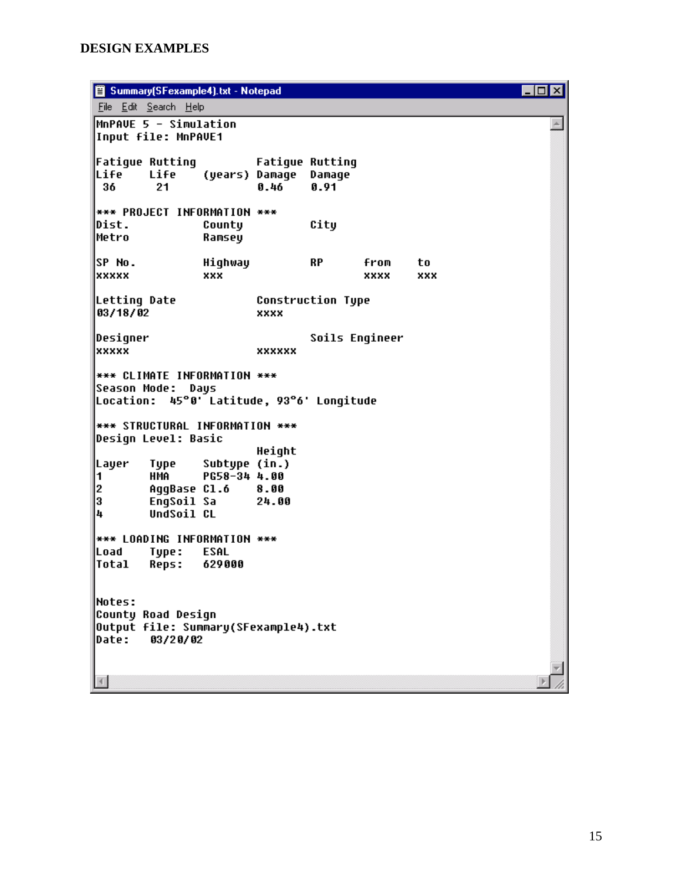**Summary(SFexample4).txt - Notepad**  $\Box$ o $\Box$ File Edit Search Help MnPAVE 5 - Simulation  $\blacktriangle$ Input file: MnPAVE1 **Fatigue Rutting Fatique Rutting** Life Life (years) Damage Damage 36  $21$  $0.46$  $0.91$ \*\*\* PROJECT INFORMATION \*\*\* Dist. County City |Metro Ramsey lsp No. Highway from **RP** to lxxxxx xxx **xxxx** xxx Letting Date **Construction Tupe** 83/18/02 xxxx Designer Soils Engineer **xxxxx xxxxxx \*\*\* CLIMATE INFORMATION \*\*\*** Season Mode: Days Location: 45°0' Latitude, 93°6' Longitude **\*\*\* STRUCTURAL INFORMATION \*\*\*** Design Level: Basic Height |Layer Tupe Subtupe (in.) PG58-34 4.00 1 **HMA** l2 AqqBase Cl.6 8.00 l3. EngSoil Sa 24.00 l4 UndSoil CL \*\*\* LOADING INFORMATION \*\*\* |Load Type: **ESAL Total Reps:** 629000 |Notes: County Road Design Output file: Summary(SFexample4).txt Date: 03/20/02  $\left\langle \cdot \right\rangle$  $\blacktriangleright$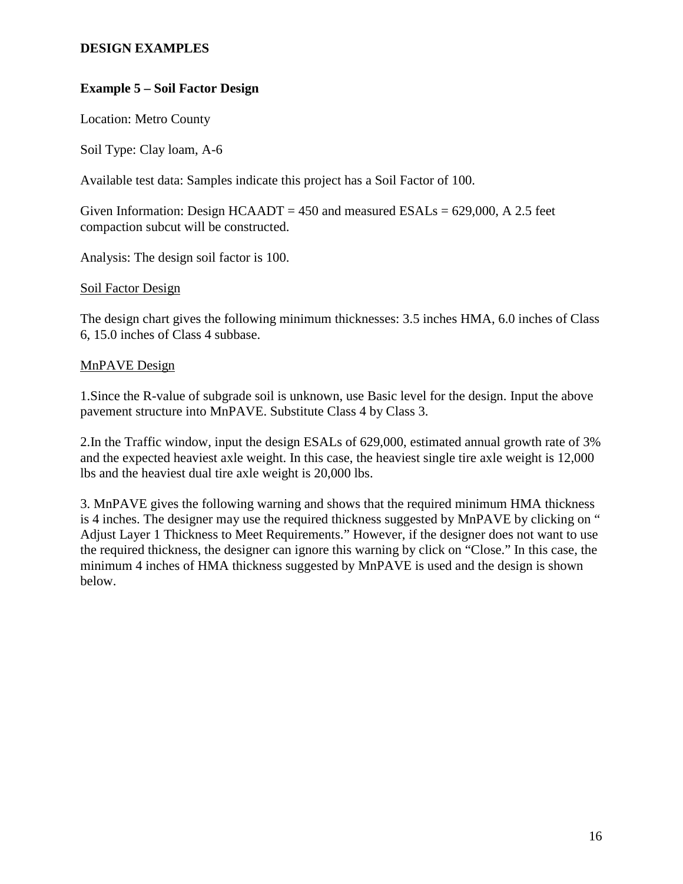# **Example 5 – Soil Factor Design**

Location: Metro County

Soil Type: Clay loam, A-6

Available test data: Samples indicate this project has a Soil Factor of 100.

Given Information: Design HCAADT =  $450$  and measured ESALs =  $629,000$ , A 2.5 feet compaction subcut will be constructed.

Analysis: The design soil factor is 100.

### Soil Factor Design

The design chart gives the following minimum thicknesses: 3.5 inches HMA, 6.0 inches of Class 6, 15.0 inches of Class 4 subbase.

### MnPAVE Design

1.Since the R-value of subgrade soil is unknown, use Basic level for the design. Input the above pavement structure into MnPAVE. Substitute Class 4 by Class 3.

2.In the Traffic window, input the design ESALs of 629,000, estimated annual growth rate of 3% and the expected heaviest axle weight. In this case, the heaviest single tire axle weight is 12,000 lbs and the heaviest dual tire axle weight is 20,000 lbs.

3. MnPAVE gives the following warning and shows that the required minimum HMA thickness is 4 inches. The designer may use the required thickness suggested by MnPAVE by clicking on " Adjust Layer 1 Thickness to Meet Requirements." However, if the designer does not want to use the required thickness, the designer can ignore this warning by click on "Close." In this case, the minimum 4 inches of HMA thickness suggested by MnPAVE is used and the design is shown below.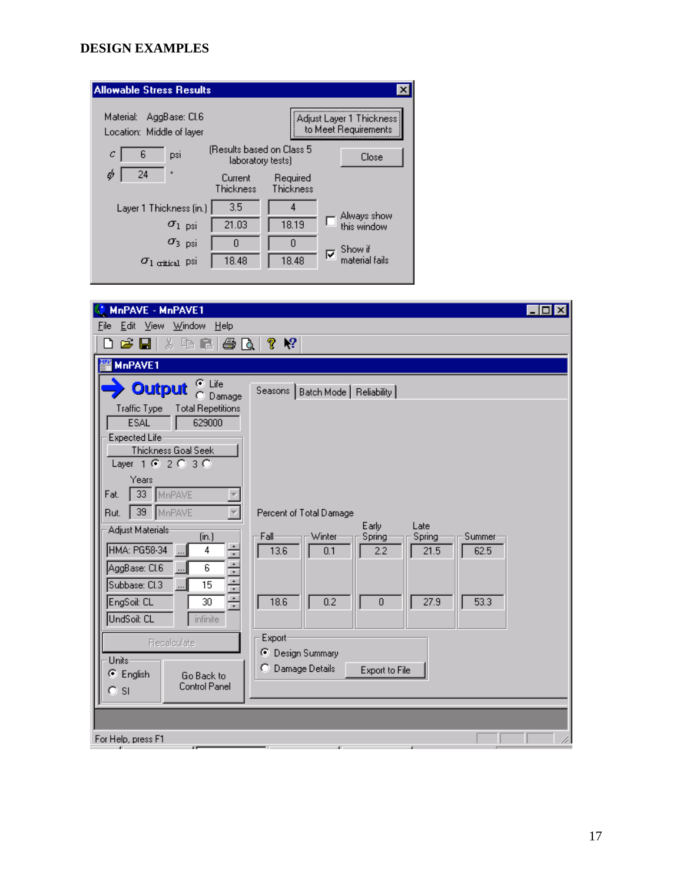| <b>Allowable Stress Results</b>                         |                                                |                       |                                                  |
|---------------------------------------------------------|------------------------------------------------|-----------------------|--------------------------------------------------|
| Material:<br>AggBase: Cl.6<br>Location: Middle of layer |                                                |                       | Adjust Layer 1 Thickness<br>to Meet Requirements |
| 6<br>с<br>psi                                           | (Results based on Class 5<br>laboratory tests) |                       | Close                                            |
| 24<br>ò<br>o                                            | Current<br>Thickness                           | Required<br>Thickness |                                                  |
| Layer 1 Thickness (in.)                                 | 3.5                                            | 4                     | Always show                                      |
| $\sigma_{1-psi}$                                        | 21.03                                          | 18.19                 | this window                                      |
| $\sigma_3$ psi                                          | n                                              | 0                     | Show if                                          |
| $\sigma_1$ critical PSI                                 | 18.48                                          | 18.48                 | ঢ়<br>material fails                             |

| MnPAVE - MnPAVE1<br>п                                                                                                 |  |
|-----------------------------------------------------------------------------------------------------------------------|--|
| Edit View Window Help<br>Eile                                                                                         |  |
| $\mathbf{P}$<br>ĉ<br>Ж<br>唯日<br>ê,<br>Ŷ.<br>Ы<br>Là                                                                   |  |
| MnPAVE1                                                                                                               |  |
| ⊕ Life<br>Output<br>Seasons   Batch Mode   Reliability  <br>Damage                                                    |  |
| Traffic Type<br><b>Total Repetitions</b><br><b>ESAL</b><br>629000                                                     |  |
| Expected Life:                                                                                                        |  |
| Thickness Goal Seek<br>Layer 1 @ 2 @ 3 0                                                                              |  |
| Years<br>33 MnPAVE<br>Fat.                                                                                            |  |
| MnPAVE<br>39 <sub>1</sub><br>Rut.<br>Percent of Total Damage                                                          |  |
| Early<br>Late<br>Adjust Materials:                                                                                    |  |
| (in.)<br>Winter<br>Fall<br>Spring<br>Spring<br>Summer<br>÷<br>HMA: PG58-34<br>4<br>13.6<br>2.2<br>21.5<br>62.5<br>0.1 |  |
| AggBase: CI.6<br>6                                                                                                    |  |
| 한 사람<br>Subbase: Cl.3<br>15                                                                                           |  |
| 53.3<br>EngSoil: CL<br>18.6<br>0.2<br>$\overline{0}$<br>27.9<br>30                                                    |  |
| UndSoil: CL<br>infinite                                                                                               |  |
| Export-<br>Recalculate                                                                                                |  |
| ⊙ Design Summary<br>Units-                                                                                            |  |
| C Damage Details<br>Export to File<br>$\bullet$ English<br>Go Back to                                                 |  |
| <b>Control Panel</b><br><b>SI</b><br>O.                                                                               |  |
|                                                                                                                       |  |
|                                                                                                                       |  |
| For Help, press F1<br>a.<br>$\overline{1}$<br>a.                                                                      |  |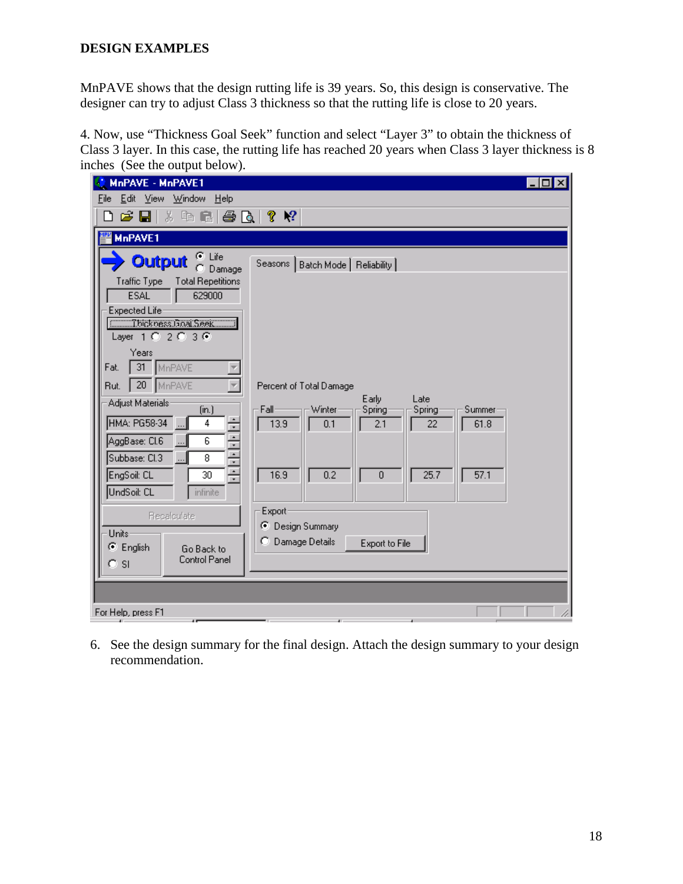MnPAVE shows that the design rutting life is 39 years. So, this design is conservative. The designer can try to adjust Class 3 thickness so that the rutting life is close to 20 years.

4. Now, use "Thickness Goal Seek" function and select "Layer 3" to obtain the thickness of Class 3 layer. In this case, the rutting life has reached 20 years when Class 3 layer thickness is 8 inches (See the output below).

| MnPAVE - MnPAVE1                                                                                                                                                                                                                                                                                                                         | $ \Box$ $\times$                                                                                                                                     |
|------------------------------------------------------------------------------------------------------------------------------------------------------------------------------------------------------------------------------------------------------------------------------------------------------------------------------------------|------------------------------------------------------------------------------------------------------------------------------------------------------|
| Edit View<br>Window<br>Eile<br>⊟ <u>H</u> elp                                                                                                                                                                                                                                                                                            |                                                                                                                                                      |
| * 4 - 8 - 8 - 8 - 8 - 8 - 8 - 8<br>G H                                                                                                                                                                                                                                                                                                   |                                                                                                                                                      |
| <b>MnPAVE1</b>                                                                                                                                                                                                                                                                                                                           |                                                                                                                                                      |
| $\sigma$ Life<br><b>Output</b><br>Damage<br>n<br>Traffic Type<br><b>Total Repetitions</b><br><b>ESAL</b><br>629000<br>Expected Lifer<br><b>Communications</b> Seek<br>Layer $102036$<br>Years<br>$31 -$<br>MnPAVE<br>Fat.<br>20 MnPAVE<br>Rut.<br>Adjust Materials:<br>(in.)<br>Fall-<br>HMA: PG58-34<br>13.9<br>4<br>AggBase: CI.6<br>6 | Seasons   Batch Mode   Reliability  <br>Percent of Total Damage<br>Early<br>Late<br>Winter<br>Spring<br>Spring<br>Summer<br>0.1<br>2.1<br>61.8<br>22 |
| <u> 사진 사진 사</u><br>Subbase: Cl.3<br>8<br>$\ldots$<br>16.9<br>EngSoil: CL<br>30<br>UndSoil: CL<br>infinite                                                                                                                                                                                                                                | 0.2<br>25.7<br>57.1<br>$\overline{0}$                                                                                                                |
| Export<br>Recalculate<br>Units-<br>$\bullet$ English<br>Go Back to<br>Control Panel<br>O SI                                                                                                                                                                                                                                              | ⊙ Design Summary<br>C Damage Details<br>Export to File                                                                                               |
| For Help, press F1<br>4F                                                                                                                                                                                                                                                                                                                 | đ.<br>$\overline{1}$                                                                                                                                 |

6. See the design summary for the final design. Attach the design summary to your design recommendation.